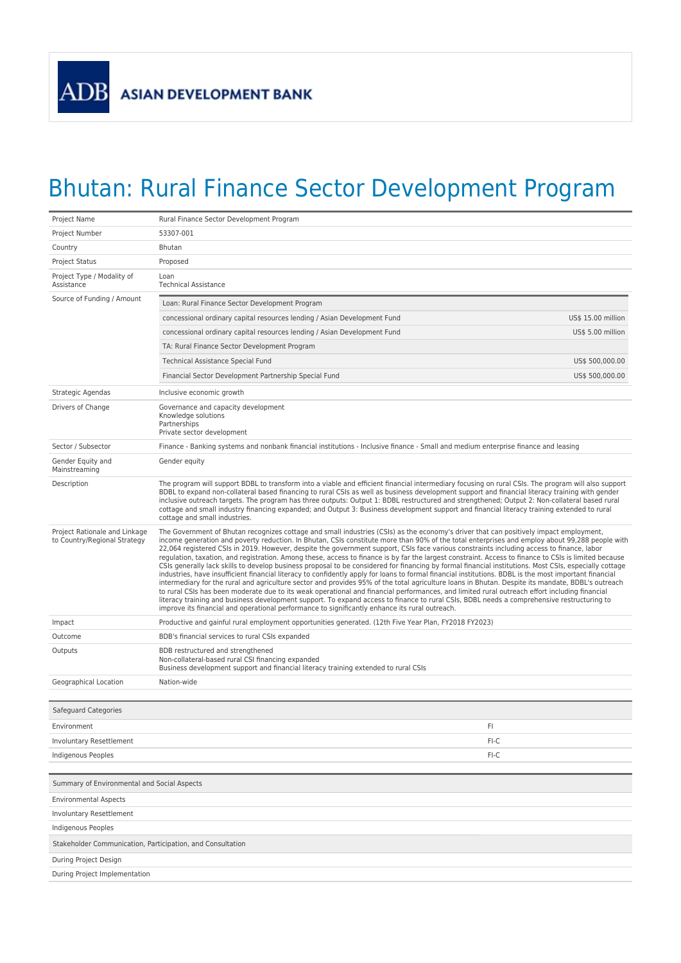## Bhutan: Rural Finance Sector Development Program

| Project Name                                                  | Rural Finance Sector Development Program                                                                                                                                                                                                                                                                                                                                                                                                                                                                                                                                                                                                                                                                                                                                                                                                                                                                                                                                                                                                                                                                                                                                                                                                                                                                                                                                                                                                                                 |                    |  |
|---------------------------------------------------------------|--------------------------------------------------------------------------------------------------------------------------------------------------------------------------------------------------------------------------------------------------------------------------------------------------------------------------------------------------------------------------------------------------------------------------------------------------------------------------------------------------------------------------------------------------------------------------------------------------------------------------------------------------------------------------------------------------------------------------------------------------------------------------------------------------------------------------------------------------------------------------------------------------------------------------------------------------------------------------------------------------------------------------------------------------------------------------------------------------------------------------------------------------------------------------------------------------------------------------------------------------------------------------------------------------------------------------------------------------------------------------------------------------------------------------------------------------------------------------|--------------------|--|
| Project Number                                                | 53307-001                                                                                                                                                                                                                                                                                                                                                                                                                                                                                                                                                                                                                                                                                                                                                                                                                                                                                                                                                                                                                                                                                                                                                                                                                                                                                                                                                                                                                                                                |                    |  |
| Country                                                       | <b>Bhutan</b>                                                                                                                                                                                                                                                                                                                                                                                                                                                                                                                                                                                                                                                                                                                                                                                                                                                                                                                                                                                                                                                                                                                                                                                                                                                                                                                                                                                                                                                            |                    |  |
| <b>Project Status</b>                                         | Proposed                                                                                                                                                                                                                                                                                                                                                                                                                                                                                                                                                                                                                                                                                                                                                                                                                                                                                                                                                                                                                                                                                                                                                                                                                                                                                                                                                                                                                                                                 |                    |  |
| Project Type / Modality of<br>Assistance                      | Loan<br><b>Technical Assistance</b>                                                                                                                                                                                                                                                                                                                                                                                                                                                                                                                                                                                                                                                                                                                                                                                                                                                                                                                                                                                                                                                                                                                                                                                                                                                                                                                                                                                                                                      |                    |  |
| Source of Funding / Amount                                    | Loan: Rural Finance Sector Development Program                                                                                                                                                                                                                                                                                                                                                                                                                                                                                                                                                                                                                                                                                                                                                                                                                                                                                                                                                                                                                                                                                                                                                                                                                                                                                                                                                                                                                           |                    |  |
|                                                               | concessional ordinary capital resources lending / Asian Development Fund                                                                                                                                                                                                                                                                                                                                                                                                                                                                                                                                                                                                                                                                                                                                                                                                                                                                                                                                                                                                                                                                                                                                                                                                                                                                                                                                                                                                 | US\$ 15.00 million |  |
|                                                               | concessional ordinary capital resources lending / Asian Development Fund                                                                                                                                                                                                                                                                                                                                                                                                                                                                                                                                                                                                                                                                                                                                                                                                                                                                                                                                                                                                                                                                                                                                                                                                                                                                                                                                                                                                 | US\$ 5.00 million  |  |
|                                                               | TA: Rural Finance Sector Development Program                                                                                                                                                                                                                                                                                                                                                                                                                                                                                                                                                                                                                                                                                                                                                                                                                                                                                                                                                                                                                                                                                                                                                                                                                                                                                                                                                                                                                             |                    |  |
|                                                               | Technical Assistance Special Fund                                                                                                                                                                                                                                                                                                                                                                                                                                                                                                                                                                                                                                                                                                                                                                                                                                                                                                                                                                                                                                                                                                                                                                                                                                                                                                                                                                                                                                        | US\$ 500,000.00    |  |
|                                                               | Financial Sector Development Partnership Special Fund                                                                                                                                                                                                                                                                                                                                                                                                                                                                                                                                                                                                                                                                                                                                                                                                                                                                                                                                                                                                                                                                                                                                                                                                                                                                                                                                                                                                                    | US\$ 500,000.00    |  |
| Strategic Agendas                                             | Inclusive economic growth                                                                                                                                                                                                                                                                                                                                                                                                                                                                                                                                                                                                                                                                                                                                                                                                                                                                                                                                                                                                                                                                                                                                                                                                                                                                                                                                                                                                                                                |                    |  |
| Drivers of Change                                             | Governance and capacity development<br>Knowledge solutions<br>Partnerships<br>Private sector development                                                                                                                                                                                                                                                                                                                                                                                                                                                                                                                                                                                                                                                                                                                                                                                                                                                                                                                                                                                                                                                                                                                                                                                                                                                                                                                                                                 |                    |  |
| Sector / Subsector                                            | Finance - Banking systems and nonbank financial institutions - Inclusive finance - Small and medium enterprise finance and leasing                                                                                                                                                                                                                                                                                                                                                                                                                                                                                                                                                                                                                                                                                                                                                                                                                                                                                                                                                                                                                                                                                                                                                                                                                                                                                                                                       |                    |  |
| Gender Equity and<br>Mainstreaming                            | Gender equity                                                                                                                                                                                                                                                                                                                                                                                                                                                                                                                                                                                                                                                                                                                                                                                                                                                                                                                                                                                                                                                                                                                                                                                                                                                                                                                                                                                                                                                            |                    |  |
| Description                                                   | The program will support BDBL to transform into a viable and efficient financial intermediary focusing on rural CSIs. The program will also support<br>BDBL to expand non-collateral based financing to rural CSIs as well as business development support and financial literacy training with gender<br>inclusive outreach targets. The program has three outputs: Output 1: BDBL restructured and strengthened; Output 2: Non-collateral based rural<br>cottage and small industry financing expanded; and Output 3: Business development support and financial literacy training extended to rural<br>cottage and small industries.                                                                                                                                                                                                                                                                                                                                                                                                                                                                                                                                                                                                                                                                                                                                                                                                                                  |                    |  |
| Project Rationale and Linkage<br>to Country/Regional Strategy | The Government of Bhutan recognizes cottage and small industries (CSIs) as the economy's driver that can positively impact employment,<br>income generation and poverty reduction. In Bhutan, CSIs constitute more than 90% of the total enterprises and employ about 99,288 people with<br>22,064 registered CSIs in 2019. However, despite the government support, CSIs face various constraints including access to finance, labor<br>regulation, taxation, and registration. Among these, access to finance is by far the largest constraint. Access to finance to CSIs is limited because<br>CSIs generally lack skills to develop business proposal to be considered for financing by formal financial institutions. Most CSIs, especially cottage<br>industries, have insufficient financial literacy to confidently apply for loans to formal financial institutions. BDBL is the most important financial<br>intermediary for the rural and agriculture sector and provides 95% of the total agriculture loans in Bhutan. Despite its mandate, BDBL's outreach<br>to rural CSIs has been moderate due to its weak operational and financial performances, and limited rural outreach effort including financial<br>literacy training and business development support. To expand access to finance to rural CSIs, BDBL needs a comprehensive restructuring to<br>improve its financial and operational performance to significantly enhance its rural outreach. |                    |  |
| Impact                                                        | Productive and gainful rural employment opportunities generated. (12th Five Year Plan, FY2018 FY2023)                                                                                                                                                                                                                                                                                                                                                                                                                                                                                                                                                                                                                                                                                                                                                                                                                                                                                                                                                                                                                                                                                                                                                                                                                                                                                                                                                                    |                    |  |
| Outcome                                                       | BDB's financial services to rural CSIs expanded                                                                                                                                                                                                                                                                                                                                                                                                                                                                                                                                                                                                                                                                                                                                                                                                                                                                                                                                                                                                                                                                                                                                                                                                                                                                                                                                                                                                                          |                    |  |
| Outputs                                                       | BDB restructured and strengthened<br>Non-collateral-based rural CSI financing expanded<br>Business development support and financial literacy training extended to rural CSIs                                                                                                                                                                                                                                                                                                                                                                                                                                                                                                                                                                                                                                                                                                                                                                                                                                                                                                                                                                                                                                                                                                                                                                                                                                                                                            |                    |  |
| Geographical Location                                         | Nation-wide                                                                                                                                                                                                                                                                                                                                                                                                                                                                                                                                                                                                                                                                                                                                                                                                                                                                                                                                                                                                                                                                                                                                                                                                                                                                                                                                                                                                                                                              |                    |  |
|                                                               |                                                                                                                                                                                                                                                                                                                                                                                                                                                                                                                                                                                                                                                                                                                                                                                                                                                                                                                                                                                                                                                                                                                                                                                                                                                                                                                                                                                                                                                                          |                    |  |
| Safeguard Categories                                          |                                                                                                                                                                                                                                                                                                                                                                                                                                                                                                                                                                                                                                                                                                                                                                                                                                                                                                                                                                                                                                                                                                                                                                                                                                                                                                                                                                                                                                                                          |                    |  |
| Environment                                                   | FI                                                                                                                                                                                                                                                                                                                                                                                                                                                                                                                                                                                                                                                                                                                                                                                                                                                                                                                                                                                                                                                                                                                                                                                                                                                                                                                                                                                                                                                                       |                    |  |
| Involuntary Resettlement                                      | FI-C                                                                                                                                                                                                                                                                                                                                                                                                                                                                                                                                                                                                                                                                                                                                                                                                                                                                                                                                                                                                                                                                                                                                                                                                                                                                                                                                                                                                                                                                     |                    |  |
| Indigenous Peoples                                            | FI-C                                                                                                                                                                                                                                                                                                                                                                                                                                                                                                                                                                                                                                                                                                                                                                                                                                                                                                                                                                                                                                                                                                                                                                                                                                                                                                                                                                                                                                                                     |                    |  |
| Summary of Environmental and Social Aspects                   |                                                                                                                                                                                                                                                                                                                                                                                                                                                                                                                                                                                                                                                                                                                                                                                                                                                                                                                                                                                                                                                                                                                                                                                                                                                                                                                                                                                                                                                                          |                    |  |
| <b>Environmental Aspects</b>                                  |                                                                                                                                                                                                                                                                                                                                                                                                                                                                                                                                                                                                                                                                                                                                                                                                                                                                                                                                                                                                                                                                                                                                                                                                                                                                                                                                                                                                                                                                          |                    |  |
| Involuntary Resettlement                                      |                                                                                                                                                                                                                                                                                                                                                                                                                                                                                                                                                                                                                                                                                                                                                                                                                                                                                                                                                                                                                                                                                                                                                                                                                                                                                                                                                                                                                                                                          |                    |  |
| Indigenous Peoples                                            |                                                                                                                                                                                                                                                                                                                                                                                                                                                                                                                                                                                                                                                                                                                                                                                                                                                                                                                                                                                                                                                                                                                                                                                                                                                                                                                                                                                                                                                                          |                    |  |
| Stakeholder Communication, Participation, and Consultation    |                                                                                                                                                                                                                                                                                                                                                                                                                                                                                                                                                                                                                                                                                                                                                                                                                                                                                                                                                                                                                                                                                                                                                                                                                                                                                                                                                                                                                                                                          |                    |  |
| During Project Design                                         |                                                                                                                                                                                                                                                                                                                                                                                                                                                                                                                                                                                                                                                                                                                                                                                                                                                                                                                                                                                                                                                                                                                                                                                                                                                                                                                                                                                                                                                                          |                    |  |
| During Project Implementation                                 |                                                                                                                                                                                                                                                                                                                                                                                                                                                                                                                                                                                                                                                                                                                                                                                                                                                                                                                                                                                                                                                                                                                                                                                                                                                                                                                                                                                                                                                                          |                    |  |
|                                                               |                                                                                                                                                                                                                                                                                                                                                                                                                                                                                                                                                                                                                                                                                                                                                                                                                                                                                                                                                                                                                                                                                                                                                                                                                                                                                                                                                                                                                                                                          |                    |  |